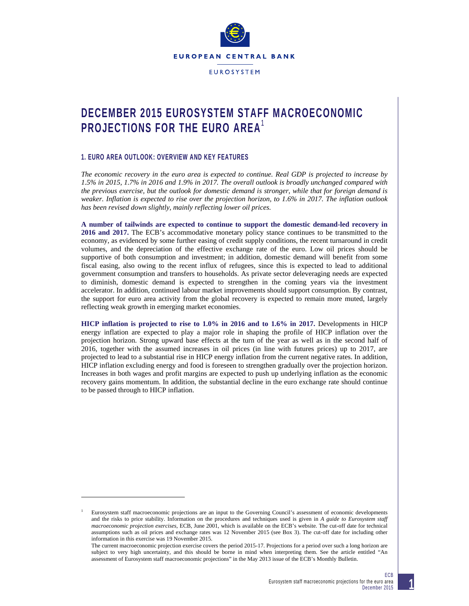

**EUROSYSTEM** 

# **DECEMBER 2015 EUROSYSTEM STAFF MACROECONOMIC PROJECTIONS FOR THE EURO AREA**<sup>1</sup>

# **1. EURO AREA OUTLOOK: OVERVIEW AND KEY FEATURES**

 $\overline{a}$ 

*The economic recovery in the euro area is expected to continue. Real GDP is projected to increase by 1.5% in 2015, 1.7% in 2016 and 1.9% in 2017. The overall outlook is broadly unchanged compared with the previous exercise, but the outlook for domestic demand is stronger, while that for foreign demand is weaker. Inflation is expected to rise over the projection horizon, to 1.6% in 2017. The inflation outlook has been revised down slightly, mainly reflecting lower oil prices.* 

**A number of tailwinds are expected to continue to support the domestic demand-led recovery in 2016 and 2017.** The ECB's accommodative monetary policy stance continues to be transmitted to the economy, as evidenced by some further easing of credit supply conditions, the recent turnaround in credit volumes, and the depreciation of the effective exchange rate of the euro. Low oil prices should be supportive of both consumption and investment; in addition, domestic demand will benefit from some fiscal easing, also owing to the recent influx of refugees, since this is expected to lead to additional government consumption and transfers to households. As private sector deleveraging needs are expected to diminish, domestic demand is expected to strengthen in the coming years via the investment accelerator. In addition, continued labour market improvements should support consumption. By contrast, the support for euro area activity from the global recovery is expected to remain more muted, largely reflecting weak growth in emerging market economies.

**HICP inflation is projected to rise to 1.0% in 2016 and to 1.6% in 2017.** Developments in HICP energy inflation are expected to play a major role in shaping the profile of HICP inflation over the projection horizon. Strong upward base effects at the turn of the year as well as in the second half of 2016, together with the assumed increases in oil prices (in line with futures prices) up to 2017, are projected to lead to a substantial rise in HICP energy inflation from the current negative rates. In addition, HICP inflation excluding energy and food is foreseen to strengthen gradually over the projection horizon. Increases in both wages and profit margins are expected to push up underlying inflation as the economic recovery gains momentum. In addition, the substantial decline in the euro exchange rate should continue to be passed through to HICP inflation.



**1**

<sup>1</sup> Eurosystem staff macroeconomic projections are an input to the Governing Council's assessment of economic developments and the risks to price stability. Information on the procedures and techniques used is given in *A guide to Eurosystem staff macroeconomic projection exercises*, ECB, June 2001, which is available on the ECB's website. The cut-off date for technical assumptions such as oil prices and exchange rates was 12 November 2015 (see Box 3). The cut-off date for including other information in this exercise was 19 November 2015.

The current macroeconomic projection exercise covers the period 2015-17. Projections for a period over such a long horizon are subject to very high uncertainty, and this should be borne in mind when interpreting them. See the article entitled "An assessment of Eurosystem staff macroeconomic projections" in the May 2013 issue of the ECB's Monthly Bulletin.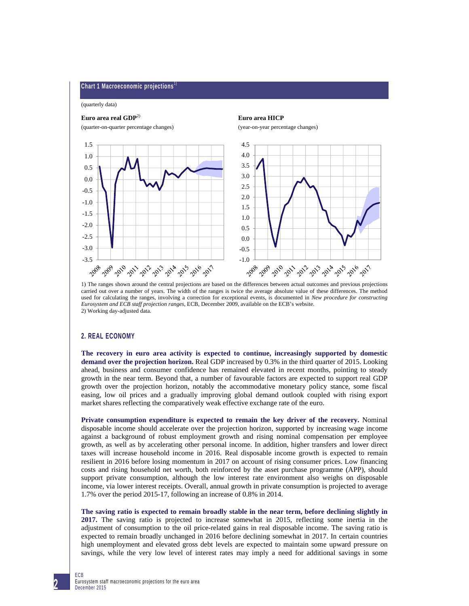#### **Chart 1 Macroeconomic projections**

(quarterly data)

# **Euro area real GDP**2) **Euro area HICP**





1) The ranges shown around the central projections are based on the differences between actual outcomes and previous projections carried out over a number of years. The width of the ranges is twice the average absolute value of these differences. The method used for calculating the ranges, involving a correction for exceptional events, is documented in *New procedure for constructing Eurosystem and ECB staff projection ranges*, ECB, December 2009, available on the ECB's website. 2) Working day-adjusted data.

## **2. REAL ECONOMY**

**The recovery in euro area activity is expected to continue, increasingly supported by domestic demand over the projection horizon.** Real GDP increased by 0.3% in the third quarter of 2015. Looking ahead, business and consumer confidence has remained elevated in recent months, pointing to steady growth in the near term. Beyond that, a number of favourable factors are expected to support real GDP growth over the projection horizon, notably the accommodative monetary policy stance, some fiscal easing, low oil prices and a gradually improving global demand outlook coupled with rising export market shares reflecting the comparatively weak effective exchange rate of the euro.

**Private consumption expenditure is expected to remain the key driver of the recovery.** Nominal disposable income should accelerate over the projection horizon, supported by increasing wage income against a background of robust employment growth and rising nominal compensation per employee growth, as well as by accelerating other personal income. In addition, higher transfers and lower direct taxes will increase household income in 2016. Real disposable income growth is expected to remain resilient in 2016 before losing momentum in 2017 on account of rising consumer prices. Low financing costs and rising household net worth, both reinforced by the asset purchase programme (APP), should support private consumption, although the low interest rate environment also weighs on disposable income, via lower interest receipts. Overall, annual growth in private consumption is projected to average 1.7% over the period 2015-17, following an increase of 0.8% in 2014.

**The saving ratio is expected to remain broadly stable in the near term, before declining slightly in 2017.** The saving ratio is projected to increase somewhat in 2015, reflecting some inertia in the adjustment of consumption to the oil price-related gains in real disposable income. The saving ratio is expected to remain broadly unchanged in 2016 before declining somewhat in 2017. In certain countries high unemployment and elevated gross debt levels are expected to maintain some upward pressure on savings, while the very low level of interest rates may imply a need for additional savings in some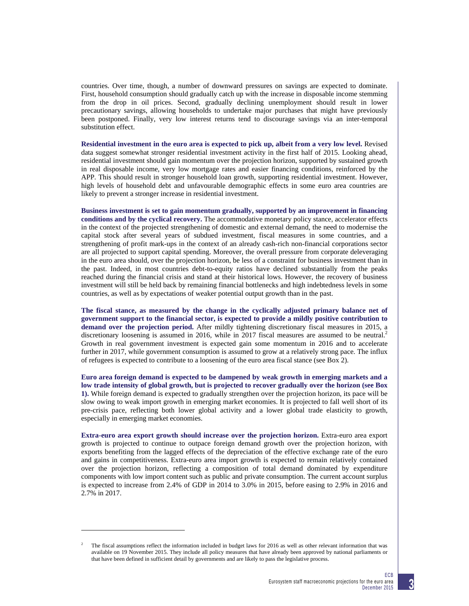countries. Over time, though, a number of downward pressures on savings are expected to dominate. First, household consumption should gradually catch up with the increase in disposable income stemming from the drop in oil prices. Second, gradually declining unemployment should result in lower precautionary savings, allowing households to undertake major purchases that might have previously been postponed. Finally, very low interest returns tend to discourage savings via an inter-temporal substitution effect.

**Residential investment in the euro area is expected to pick up, albeit from a very low level.** Revised data suggest somewhat stronger residential investment activity in the first half of 2015. Looking ahead, residential investment should gain momentum over the projection horizon, supported by sustained growth in real disposable income, very low mortgage rates and easier financing conditions, reinforced by the APP. This should result in stronger household loan growth, supporting residential investment. However, high levels of household debt and unfavourable demographic effects in some euro area countries are likely to prevent a stronger increase in residential investment.

**Business investment is set to gain momentum gradually, supported by an improvement in financing conditions and by the cyclical recovery.** The accommodative monetary policy stance, accelerator effects in the context of the projected strengthening of domestic and external demand, the need to modernise the capital stock after several years of subdued investment, fiscal measures in some countries, and a strengthening of profit mark-ups in the context of an already cash-rich non-financial corporations sector are all projected to support capital spending. Moreover, the overall pressure from corporate deleveraging in the euro area should, over the projection horizon, be less of a constraint for business investment than in the past. Indeed, in most countries debt-to-equity ratios have declined substantially from the peaks reached during the financial crisis and stand at their historical lows. However, the recovery of business investment will still be held back by remaining financial bottlenecks and high indebtedness levels in some countries, as well as by expectations of weaker potential output growth than in the past.

**The fiscal stance, as measured by the change in the cyclically adjusted primary balance net of government support to the financial sector, is expected to provide a mildly positive contribution to demand over the projection period.** After mildly tightening discretionary fiscal measures in 2015, a discretionary loosening is assumed in 2016, while in 2017 fiscal measures are assumed to be neutral.<sup>2</sup> Growth in real government investment is expected gain some momentum in 2016 and to accelerate further in 2017, while government consumption is assumed to grow at a relatively strong pace. The influx of refugees is expected to contribute to a loosening of the euro area fiscal stance (see Box 2).

**Euro area foreign demand is expected to be dampened by weak growth in emerging markets and a low trade intensity of global growth, but is projected to recover gradually over the horizon (see Box 1).** While foreign demand is expected to gradually strengthen over the projection horizon, its pace will be slow owing to weak import growth in emerging market economies. It is projected to fall well short of its pre-crisis pace, reflecting both lower global activity and a lower global trade elasticity to growth, especially in emerging market economies.

**Extra-euro area export growth should increase over the projection horizon.** Extra-euro area export growth is projected to continue to outpace foreign demand growth over the projection horizon, with exports benefiting from the lagged effects of the depreciation of the effective exchange rate of the euro and gains in competitiveness. Extra-euro area import growth is expected to remain relatively contained over the projection horizon, reflecting a composition of total demand dominated by expenditure components with low import content such as public and private consumption. The current account surplus is expected to increase from 2.4% of GDP in 2014 to 3.0% in 2015, before easing to 2.9% in 2016 and 2.7% in 2017.

 $\overline{a}$ 



<sup>2</sup> The fiscal assumptions reflect the information included in budget laws for 2016 as well as other relevant information that was available on 19 November 2015. They include all policy measures that have already been approved by national parliaments or that have been defined in sufficient detail by governments and are likely to pass the legislative process.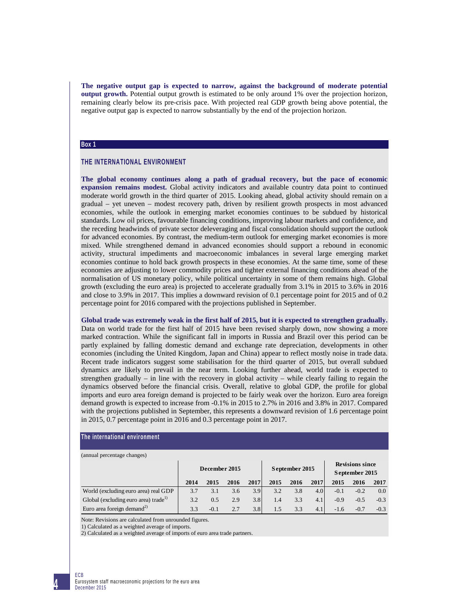**The negative output gap is expected to narrow, against the background of moderate potential output growth.** Potential output growth is estimated to be only around 1% over the projection horizon, remaining clearly below its pre-crisis pace. With projected real GDP growth being above potential, the negative output gap is expected to narrow substantially by the end of the projection horizon.

## **Box 1**

# **THE INTERNATIONAL ENVIRONMENT**

**The global economy continues along a path of gradual recovery, but the pace of economic expansion remains modest.** Global activity indicators and available country data point to continued moderate world growth in the third quarter of 2015. Looking ahead, global activity should remain on a gradual – yet uneven – modest recovery path, driven by resilient growth prospects in most advanced economies, while the outlook in emerging market economies continues to be subdued by historical standards. Low oil prices, favourable financing conditions, improving labour markets and confidence, and the receding headwinds of private sector deleveraging and fiscal consolidation should support the outlook for advanced economies. By contrast, the medium-term outlook for emerging market economies is more mixed. While strengthened demand in advanced economies should support a rebound in economic activity, structural impediments and macroeconomic imbalances in several large emerging market economies continue to hold back growth prospects in these economies. At the same time, some of these economies are adjusting to lower commodity prices and tighter external financing conditions ahead of the normalisation of US monetary policy, while political uncertainty in some of them remains high. Global growth (excluding the euro area) is projected to accelerate gradually from 3.1% in 2015 to 3.6% in 2016 and close to 3.9% in 2017. This implies a downward revision of 0.1 percentage point for 2015 and of 0.2 percentage point for 2016 compared with the projections published in September.

**Global trade was extremely weak in the first half of 2015, but it is expected to strengthen gradually.** Data on world trade for the first half of 2015 have been revised sharply down, now showing a more marked contraction. While the significant fall in imports in Russia and Brazil over this period can be partly explained by falling domestic demand and exchange rate depreciation, developments in other economies (including the United Kingdom, Japan and China) appear to reflect mostly noise in trade data. Recent trade indicators suggest some stabilisation for the third quarter of 2015, but overall subdued dynamics are likely to prevail in the near term. Looking further ahead, world trade is expected to strengthen gradually – in line with the recovery in global activity – while clearly failing to regain the dynamics observed before the financial crisis. Overall, relative to global GDP, the profile for global imports and euro area foreign demand is projected to be fairly weak over the horizon. Euro area foreign demand growth is expected to increase from -0.1% in 2015 to 2.7% in 2016 and 3.8% in 2017. Compared with the projections published in September, this represents a downward revision of 1.6 percentage point in 2015, 0.7 percentage point in 2016 and 0.3 percentage point in 2017.

# **The international environment**

(annual percentage changes)

| $($ annual personal $\epsilon$ shanges,          |               |        |      |      |                |      |      |                                          |        |        |  |  |
|--------------------------------------------------|---------------|--------|------|------|----------------|------|------|------------------------------------------|--------|--------|--|--|
|                                                  | December 2015 |        |      |      | September 2015 |      |      | <b>Revisions since</b><br>September 2015 |        |        |  |  |
|                                                  | 2014          | 2015   | 2016 | 2017 | 2015           | 2016 | 2017 | 2015                                     | 2016   | 2017   |  |  |
| World (excluding euro area) real GDP             | 3.7           | 3.1    | 3.6  | 3.9  | 3.2            | 3.8  | 4.0  | $-0.1$                                   | $-0.2$ | 0.0    |  |  |
| Global (excluding euro area) trade <sup>1)</sup> | 3.2           | 0.5    | 2.9  | 3.8  | 1.4            | 3.3  | 4.1  | $-0.9$                                   | $-0.5$ | $-0.3$ |  |  |
| Euro area foreign demand <sup>2)</sup>           | 3.3           | $-0.1$ | 2.7  | 3.8  | 1.5            | 3.3  | 4.1  | $-1.6$                                   | $-0.7$ | $-0.3$ |  |  |

Note: Revisions are calculated from unrounded figures.

1) Calculated as a weighted average of imports.

2) Calculated as a weighted average of imports of euro area trade partners.

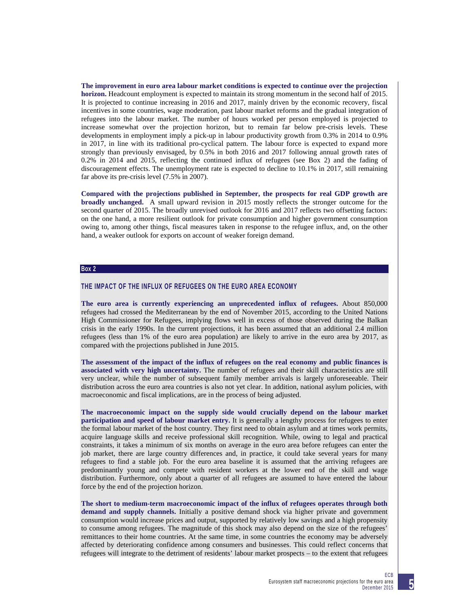**The improvement in euro area labour market conditions is expected to continue over the projection horizon.** Headcount employment is expected to maintain its strong momentum in the second half of 2015. It is projected to continue increasing in 2016 and 2017, mainly driven by the economic recovery, fiscal incentives in some countries, wage moderation, past labour market reforms and the gradual integration of refugees into the labour market. The number of hours worked per person employed is projected to increase somewhat over the projection horizon, but to remain far below pre-crisis levels. These developments in employment imply a pick-up in labour productivity growth from 0.3% in 2014 to 0.9% in 2017, in line with its traditional pro-cyclical pattern. The labour force is expected to expand more strongly than previously envisaged, by 0.5% in both 2016 and 2017 following annual growth rates of 0.2% in 2014 and 2015, reflecting the continued influx of refugees (see Box 2) and the fading of discouragement effects. The unemployment rate is expected to decline to 10.1% in 2017, still remaining far above its pre-crisis level (7.5% in 2007).

**Compared with the projections published in September, the prospects for real GDP growth are broadly unchanged.** A small upward revision in 2015 mostly reflects the stronger outcome for the second quarter of 2015. The broadly unrevised outlook for 2016 and 2017 reflects two offsetting factors: on the one hand, a more resilient outlook for private consumption and higher government consumption owing to, among other things, fiscal measures taken in response to the refugee influx, and, on the other hand, a weaker outlook for exports on account of weaker foreign demand.

# **Box 2**

## **THE IMPACT OF THE INFLUX OF REFUGEES ON THE EURO AREA ECONOMY**

**The euro area is currently experiencing an unprecedented influx of refugees.** About 850,000 refugees had crossed the Mediterranean by the end of November 2015, according to the United Nations High Commissioner for Refugees, implying flows well in excess of those observed during the Balkan crisis in the early 1990s. In the current projections, it has been assumed that an additional 2.4 million refugees (less than 1% of the euro area population) are likely to arrive in the euro area by 2017, as compared with the projections published in June 2015.

**The assessment of the impact of the influx of refugees on the real economy and public finances is associated with very high uncertainty.** The number of refugees and their skill characteristics are still very unclear, while the number of subsequent family member arrivals is largely unforeseeable. Their distribution across the euro area countries is also not yet clear. In addition, national asylum policies, with macroeconomic and fiscal implications, are in the process of being adjusted.

**The macroeconomic impact on the supply side would crucially depend on the labour market participation and speed of labour market entry.** It is generally a lengthy process for refugees to enter the formal labour market of the host country. They first need to obtain asylum and at times work permits, acquire language skills and receive professional skill recognition. While, owing to legal and practical constraints, it takes a minimum of six months on average in the euro area before refugees can enter the job market, there are large country differences and, in practice, it could take several years for many refugees to find a stable job. For the euro area baseline it is assumed that the arriving refugees are predominantly young and compete with resident workers at the lower end of the skill and wage distribution. Furthermore, only about a quarter of all refugees are assumed to have entered the labour force by the end of the projection horizon.

**The short to medium-term macroeconomic impact of the influx of refugees operates through both demand and supply channels.** Initially a positive demand shock via higher private and government consumption would increase prices and output, supported by relatively low savings and a high propensity to consume among refugees. The magnitude of this shock may also depend on the size of the refugees' remittances to their home countries. At the same time, in some countries the economy may be adversely affected by deteriorating confidence among consumers and businesses. This could reflect concerns that refugees will integrate to the detriment of residents' labour market prospects – to the extent that refugees

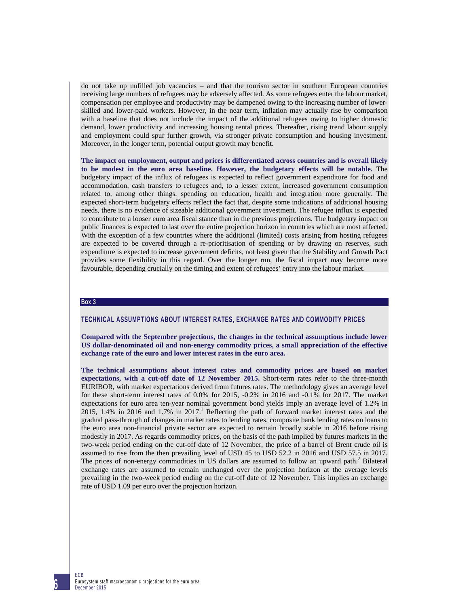do not take up unfilled job vacancies – and that the tourism sector in southern European countries receiving large numbers of refugees may be adversely affected. As some refugees enter the labour market, compensation per employee and productivity may be dampened owing to the increasing number of lowerskilled and lower-paid workers. However, in the near term, inflation may actually rise by comparison with a baseline that does not include the impact of the additional refugees owing to higher domestic demand, lower productivity and increasing housing rental prices. Thereafter, rising trend labour supply and employment could spur further growth, via stronger private consumption and housing investment. Moreover, in the longer term, potential output growth may benefit.

**The impact on employment, output and prices is differentiated across countries and is overall likely to be modest in the euro area baseline. However, the budgetary effects will be notable.** The budgetary impact of the influx of refugees is expected to reflect government expenditure for food and accommodation, cash transfers to refugees and, to a lesser extent, increased government consumption related to, among other things, spending on education, health and integration more generally. The expected short-term budgetary effects reflect the fact that, despite some indications of additional housing needs, there is no evidence of sizeable additional government investment. The refugee influx is expected to contribute to a looser euro area fiscal stance than in the previous projections. The budgetary impact on public finances is expected to last over the entire projection horizon in countries which are most affected. With the exception of a few countries where the additional (limited) costs arising from hosting refugees are expected to be covered through a re-prioritisation of spending or by drawing on reserves, such expenditure is expected to increase government deficits, not least given that the Stability and Growth Pact provides some flexibility in this regard. Over the longer run, the fiscal impact may become more favourable, depending crucially on the timing and extent of refugees' entry into the labour market.

# **Box 3**

# **TECHNICAL ASSUMPTIONS ABOUT INTEREST RATES, EXCHANGE RATES AND COMMODITY PRICES**

**Compared with the September projections, the changes in the technical assumptions include lower US dollar-denominated oil and non-energy commodity prices, a small appreciation of the effective exchange rate of the euro and lower interest rates in the euro area.** 

**The technical assumptions about interest rates and commodity prices are based on market expectations, with a cut-off date of 12 November 2015.** Short-term rates refer to the three-month EURIBOR, with market expectations derived from futures rates. The methodology gives an average level for these short-term interest rates of 0.0% for 2015, -0.2% in 2016 and -0.1% for 2017. The market expectations for euro area ten-year nominal government bond yields imply an average level of 1.2% in  $2015$ , 1.4% in 2016 and 1.7% in 2017.<sup>1</sup> Reflecting the path of forward market interest rates and the gradual pass-through of changes in market rates to lending rates, composite bank lending rates on loans to the euro area non-financial private sector are expected to remain broadly stable in 2016 before rising modestly in 2017. As regards commodity prices, on the basis of the path implied by futures markets in the two-week period ending on the cut-off date of 12 November, the price of a barrel of Brent crude oil is assumed to rise from the then prevailing level of USD 45 to USD 52.2 in 2016 and USD 57.5 in 2017. The prices of non-energy commodities in US dollars are assumed to follow an upward path.<sup>2</sup> Bilateral exchange rates are assumed to remain unchanged over the projection horizon at the average levels prevailing in the two-week period ending on the cut-off date of 12 November. This implies an exchange rate of USD 1.09 per euro over the projection horizon.

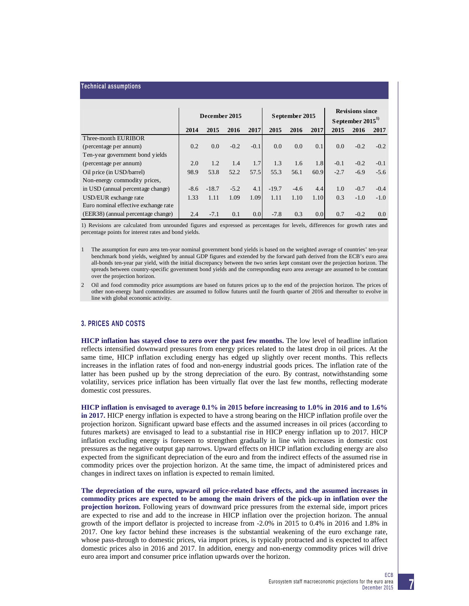#### **Technical assumptions**

|                                      | December 2015                |         |        |                   | September 2015 |        |      | <b>Revisions since</b> |        |        |  |
|--------------------------------------|------------------------------|---------|--------|-------------------|----------------|--------|------|------------------------|--------|--------|--|
|                                      |                              |         |        | September $20151$ |                |        |      |                        |        |        |  |
|                                      | 2017<br>2015<br>2016<br>2014 |         |        | 2015              | 2016           | 2017   | 2015 | 2016                   | 2017   |        |  |
| Three-month EURIBOR                  |                              |         |        |                   |                |        |      |                        |        |        |  |
| (percentage per annum)               | 0.2                          | 0.0     | $-0.2$ | $-0.1$            | 0.0            | 0.0    | 0.1  | 0.0                    | $-0.2$ | $-0.2$ |  |
| Ten-year government bond yields      |                              |         |        |                   |                |        |      |                        |        |        |  |
| (percentage per annum)               | 2.0                          | 1.2     | 1.4    | 1.7               | 1.3            | 1.6    | 1.8  | $-0.1$                 | $-0.2$ | $-0.1$ |  |
| Oil price (in USD/barrel)            | 98.9                         | 53.8    | 52.2   | 57.5              | 55.3           | 56.1   | 60.9 | $-2.7$                 | $-6.9$ | $-5.6$ |  |
| Non-energy commodity prices,         |                              |         |        |                   |                |        |      |                        |        |        |  |
| in USD (annual percentage change)    | $-8.6$                       | $-18.7$ | $-5.2$ | 4.1               | $-19.7$        | $-4.6$ | 4.4  | 1.0                    | $-0.7$ | $-0.4$ |  |
| USD/EUR exchange rate                | 1.33                         | 1.11    | 1.09   | 1.09              | 1.11           | 1.10   | 1.10 | 0.3                    | $-1.0$ | $-1.0$ |  |
| Euro nominal effective exchange rate |                              |         |        |                   |                |        |      |                        |        |        |  |
| (EER38) (annual percentage change)   | 2.4                          | $-7.1$  | 0.1    | 0.0 <sub>l</sub>  | $-7.8$         | 0.3    | 0.0  | 0.7                    | $-0.2$ | 0.0    |  |

1) Revisions are calculated from unrounded figures and expressed as percentages for levels, differences for growth rates and percentage points for interest rates and bond yields.

- 1 The assumption for euro area ten-year nominal government bond yields is based on the weighted average of countries' ten-year benchmark bond yields, weighted by annual GDP figures and extended by the forward path derived from the ECB's euro area all-bonds ten-year par yield, with the initial discrepancy between the two series kept constant over the projection horizon. The spreads between country-specific government bond yields and the corresponding euro area average are assumed to be constant over the projection horizon.
- 2 Oil and food commodity price assumptions are based on futures prices up to the end of the projection horizon. The prices of other non-energy hard commodities are assumed to follow futures until the fourth quarter of 2016 and thereafter to evolve in line with global economic activity.

# **3. PRICES AND COSTS**

**HICP inflation has stayed close to zero over the past few months.** The low level of headline inflation reflects intensified downward pressures from energy prices related to the latest drop in oil prices. At the same time, HICP inflation excluding energy has edged up slightly over recent months. This reflects increases in the inflation rates of food and non-energy industrial goods prices. The inflation rate of the latter has been pushed up by the strong depreciation of the euro. By contrast, notwithstanding some volatility, services price inflation has been virtually flat over the last few months, reflecting moderate domestic cost pressures.

**HICP inflation is envisaged to average 0.1% in 2015 before increasing to 1.0% in 2016 and to 1.6% in 2017.** HICP energy inflation is expected to have a strong bearing on the HICP inflation profile over the projection horizon. Significant upward base effects and the assumed increases in oil prices (according to futures markets) are envisaged to lead to a substantial rise in HICP energy inflation up to 2017. HICP inflation excluding energy is foreseen to strengthen gradually in line with increases in domestic cost pressures as the negative output gap narrows. Upward effects on HICP inflation excluding energy are also expected from the significant depreciation of the euro and from the indirect effects of the assumed rise in commodity prices over the projection horizon. At the same time, the impact of administered prices and changes in indirect taxes on inflation is expected to remain limited.

**The depreciation of the euro, upward oil price-related base effects, and the assumed increases in commodity prices are expected to be among the main drivers of the pick-up in inflation over the projection horizon.** Following years of downward price pressures from the external side, import prices are expected to rise and add to the increase in HICP inflation over the projection horizon. The annual growth of the import deflator is projected to increase from -2.0% in 2015 to 0.4% in 2016 and 1.8% in 2017. One key factor behind these increases is the substantial weakening of the euro exchange rate, whose pass-through to domestic prices, via import prices, is typically protracted and is expected to affect domestic prices also in 2016 and 2017. In addition, energy and non-energy commodity prices will drive euro area import and consumer price inflation upwards over the horizon.

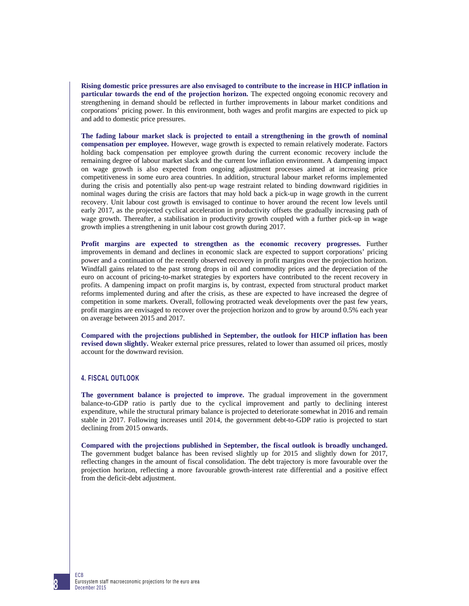**Rising domestic price pressures are also envisaged to contribute to the increase in HICP inflation in particular towards the end of the projection horizon.** The expected ongoing economic recovery and strengthening in demand should be reflected in further improvements in labour market conditions and corporations' pricing power. In this environment, both wages and profit margins are expected to pick up and add to domestic price pressures.

**The fading labour market slack is projected to entail a strengthening in the growth of nominal compensation per employee.** However, wage growth is expected to remain relatively moderate. Factors holding back compensation per employee growth during the current economic recovery include the remaining degree of labour market slack and the current low inflation environment. A dampening impact on wage growth is also expected from ongoing adjustment processes aimed at increasing price competitiveness in some euro area countries. In addition, structural labour market reforms implemented during the crisis and potentially also pent-up wage restraint related to binding downward rigidities in nominal wages during the crisis are factors that may hold back a pick-up in wage growth in the current recovery. Unit labour cost growth is envisaged to continue to hover around the recent low levels until early 2017, as the projected cyclical acceleration in productivity offsets the gradually increasing path of wage growth. Thereafter, a stabilisation in productivity growth coupled with a further pick-up in wage growth implies a strengthening in unit labour cost growth during 2017.

**Profit margins are expected to strengthen as the economic recovery progresses.** Further improvements in demand and declines in economic slack are expected to support corporations' pricing power and a continuation of the recently observed recovery in profit margins over the projection horizon. Windfall gains related to the past strong drops in oil and commodity prices and the depreciation of the euro on account of pricing-to-market strategies by exporters have contributed to the recent recovery in profits. A dampening impact on profit margins is, by contrast, expected from structural product market reforms implemented during and after the crisis, as these are expected to have increased the degree of competition in some markets. Overall, following protracted weak developments over the past few years, profit margins are envisaged to recover over the projection horizon and to grow by around 0.5% each year on average between 2015 and 2017.

**Compared with the projections published in September, the outlook for HICP inflation has been revised down slightly.** Weaker external price pressures, related to lower than assumed oil prices, mostly account for the downward revision.

# **4. FISCAL OUTLOOK**

**The government balance is projected to improve.** The gradual improvement in the government balance-to-GDP ratio is partly due to the cyclical improvement and partly to declining interest expenditure, while the structural primary balance is projected to deteriorate somewhat in 2016 and remain stable in 2017. Following increases until 2014, the government debt-to-GDP ratio is projected to start declining from 2015 onwards.

**Compared with the projections published in September, the fiscal outlook is broadly unchanged.** The government budget balance has been revised slightly up for 2015 and slightly down for 2017, reflecting changes in the amount of fiscal consolidation. The debt trajectory is more favourable over the projection horizon, reflecting a more favourable growth-interest rate differential and a positive effect from the deficit-debt adjustment.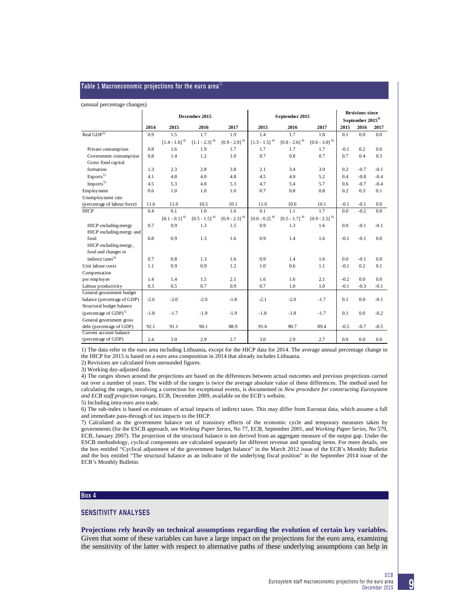#### **Table 1 Macroeconomic projections for the euro area**1)

#### (annual percentage changes)

|                                      | December 2015 |                                    |                             |                             | September 2015              | <b>Revisions since</b><br>September $2015^{2}$ |                             |        |        |        |
|--------------------------------------|---------------|------------------------------------|-----------------------------|-----------------------------|-----------------------------|------------------------------------------------|-----------------------------|--------|--------|--------|
|                                      | 2014          | 2015                               | 2016                        | 2017                        | 2015                        | 2016                                           | 2017                        | 2015   | 2016   | 2017   |
| Real GDP <sup>3)</sup>               | 0.9           | 1.5                                | 1.7                         | 1.9                         | 1.4                         | 1.7                                            | 1.8                         | 0.1    | 0.0    | 0.0    |
|                                      |               | $\left[1.4$ - $1.6\right]$ $^{4)}$ | $[1.1 - 2.3]$ <sup>4)</sup> | $[0.9 - 2.9]$ <sup>4)</sup> | $[1.3 - 1.5]$ <sup>4)</sup> | $[0.8 - 2.6]$ $^{\rm 4)}$                      | $[0.6 - 3.0]$ <sup>4)</sup> |        |        |        |
| Private consumption                  | 0.8           | 1.6                                | 1.9                         | 1.7                         | 1.7                         | 1.7                                            | 1.7                         | $-0.1$ | 0.2    | 0.0    |
| Government consumption               | 0.8           | 1.4                                | 1.2                         | 1.0                         | 0.7                         | 0.8                                            | 0.7                         | 0.7    | 0.4    | 0.3    |
| Gross fixed capital                  |               |                                    |                             |                             |                             |                                                |                             |        |        |        |
| formation                            | 1.3           | 2.3                                | 2.8                         | 3.8                         | 2.1                         | 3.4                                            | 3.9                         | 0.2    | $-0.7$ | $-0.1$ |
| Exports <sup>5</sup>                 | 4.1           | 4.8                                | 4.0                         | 4.8                         | 4.5                         | 4.9                                            | 5.2                         | 0.4    | $-0.8$ | $-0.4$ |
| Imports <sup>5</sup>                 | 4.5           | 5.3                                | 4.8                         | 5.3                         | 4.7                         | 5.4                                            | 5.7                         | 0.6    | $-0.7$ | $-0.4$ |
| Employment                           | 0.6           | 1.0                                | 1.0                         | 1.0                         | 0.7                         | 0.8                                            | 0.8                         | 0.2    | 0.3    | 0.1    |
| Unemployment rate                    |               |                                    |                             |                             |                             |                                                |                             |        |        |        |
| (percentage of labour force)         | 11.6          | 11.0                               | 10.5                        | 10.1                        | 11.0                        | 10.6                                           | 10.1                        | $-0.1$ | $-0.1$ | 0.0    |
| <b>HICP</b>                          | 0.4           | 0.1                                | 1.0                         | 1.6                         | 0.1                         | 1.1                                            | 1.7                         | 0.0    | $-0.2$ | 0.0    |
|                                      |               | $\left[0.1$ - $0.1\right]$ $^{4)}$ | $[0.5 - 1.5]^{4}$           | $[0.9 - 2.3]$ $^{\rm 4)}$   | $[0.0 - 0.2]$ <sup>4)</sup> | $[0.5 - 1.7]$ $^{\rm 4)}$                      | $[0.9 - 2.5]$ <sup>4)</sup> |        |        |        |
| HICP excluding energy                | 0.7           | 0.9                                | 1.3                         | 1.5                         | 0.9                         | 1.3                                            | 1.6                         | 0.0    | $-0.1$ | $-0.1$ |
| HICP excluding energy and            |               |                                    |                             |                             |                             |                                                |                             |        |        |        |
| food                                 | 0.8           | 0.9                                | 1.3                         | 1.6                         | 0.9                         | 1.4                                            | 1.6                         | $-0.1$ | $-0.1$ | 0.0    |
| HICP excluding energy,               |               |                                    |                             |                             |                             |                                                |                             |        |        |        |
| food and changes in                  |               |                                    |                             |                             |                             |                                                |                             |        |        |        |
| indirect taxes <sup>6)</sup>         | 0.7           | 0.8                                | 1.3                         | 1.6                         | 0.9                         | 1.4                                            | 1.6                         | 0.0    | $-0.1$ | 0.0    |
| Unit labour costs                    | 1.1           | 0.9                                | 0.9                         | 1.2                         | 1.0                         | 0.6                                            | 1.1                         | $-0.1$ | 0.2    | 0.1    |
| Compensation                         |               |                                    |                             |                             |                             |                                                |                             |        |        |        |
| per employee                         | 1.4           | 1.4                                | 1.5                         | 2.1                         | 1.6                         | 1.6                                            | 2.1                         | $-0.2$ | 0.0    | 0.0    |
| Labour productivity                  | 0.3           | 0.5                                | 0.7                         | 0.9                         | 0.7                         | 1.0                                            | 1.0                         | $-0.1$ | $-0.3$ | $-0.1$ |
| General government budget            |               |                                    |                             |                             |                             |                                                |                             |        |        |        |
| balance (percentage of GDP)          | $-2.6$        | $-2.0$                             | $-2.0$                      | $-1.8$                      | $-2.1$                      | $-2.0$                                         | $-1.7$                      | 0.1    | 0.0    | $-0.1$ |
| Structural budget balance            |               |                                    |                             |                             |                             |                                                |                             |        |        |        |
| (percentage of $GDP$ ) <sup>7)</sup> | $-1.8$        | $-1.7$                             | $-1.9$                      | $-1.9$                      | $-1.8$                      | $-1.8$                                         | $-1.7$                      | 0.1    | 0.0    | $-0.2$ |
| General government gross             |               |                                    |                             |                             |                             |                                                |                             |        |        |        |
| debt (percentage of GDP)             | 92.1          | 91.1                               | 90.1                        | 88.9                        | 91.6                        | 90.7                                           | 89.4                        | $-0.5$ | $-0.7$ | $-0.5$ |
| Current account balance              |               |                                    |                             |                             |                             |                                                |                             |        |        |        |
| (percentage of GDP)                  | 2.4           | 3.0                                | 2.9                         | 2.7                         | 3.0                         | 2.9                                            | 2.7                         | 0.0    | 0.0    | 0.0    |

1) The data refer to the euro area including Lithuania, except for the HICP data for 2014. The average annual percentage change in the HICP for 2015 is based on a euro area composition in 2014 that already includes Lithuania.

2) Revisions are calculated from unrounded figures.

3) Working day-adjusted data.

4) The ranges shown around the projections are based on the differences between actual outcomes and previous projections carried out over a number of years. The width of the ranges is twice the average absolute value of these differences. The method used for calculating the ranges, involving a correction for exceptional events, is documented in *New procedure for constructing Eurosystem and ECB staff projection ranges*, ECB, December 2009, available on the ECB's website.

5) Including intra-euro area trade.

6) The sub-index is based on estimates of actual impacts of indirect taxes. This may differ from Eurostat data, which assume a full and immediate pass-through of tax impacts to the HICP.

7) Calculated as the government balance net of transitory effects of the economic cycle and temporary measures taken by governments (for the ESCB approach, see *Working Paper Series*, No 77, ECB, September 2001, and *Working Paper Series*, No 579, ECB, January 2007). The projection of the structural balance is not derived from an aggregate measure of the output gap. Under the ESCB methodology, cyclical components are calculated separately for different revenue and spending items. For more details, see the box entitled "Cyclical adjustment of the government budget balance" in the March 2012 issue of the ECB's Monthly Bulletin and the box entitled "The structural balance as an indicator of the underlying fiscal position" in the September 2014 issue of the ECB's Monthly Bulletin.

#### **Box 4**

## **SENSITIVITY ANALYSES**

**Projections rely heavily on technical assumptions regarding the evolution of certain key variables.** Given that some of these variables can have a large impact on the projections for the euro area, examining the sensitivity of the latter with respect to alternative paths of these underlying assumptions can help in

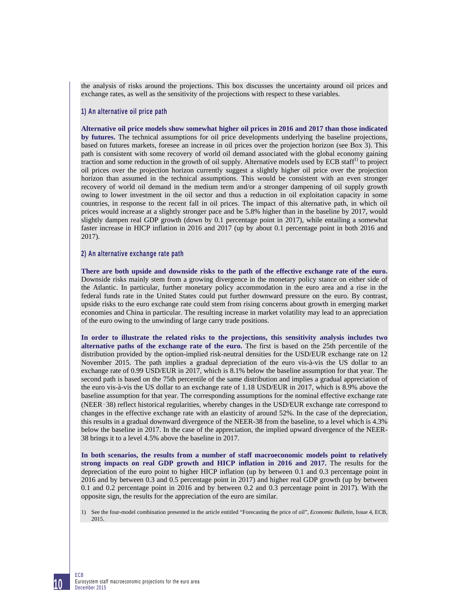the analysis of risks around the projections. This box discusses the uncertainty around oil prices and exchange rates, as well as the sensitivity of the projections with respect to these variables.

## **1) An alternative oil price path**

**Alternative oil price models show somewhat higher oil prices in 2016 and 2017 than those indicated by futures.** The technical assumptions for oil price developments underlying the baseline projections, based on futures markets, foresee an increase in oil prices over the projection horizon (see Box 3). This path is consistent with some recovery of world oil demand associated with the global economy gaining traction and some reduction in the growth of oil supply. Alternative models used by ECB staff<sup>1</sup> to project oil prices over the projection horizon currently suggest a slightly higher oil price over the projection horizon than assumed in the technical assumptions. This would be consistent with an even stronger recovery of world oil demand in the medium term and/or a stronger dampening of oil supply growth owing to lower investment in the oil sector and thus a reduction in oil exploitation capacity in some countries, in response to the recent fall in oil prices. The impact of this alternative path, in which oil prices would increase at a slightly stronger pace and be 5.8% higher than in the baseline by 2017, would slightly dampen real GDP growth (down by 0.1 percentage point in 2017), while entailing a somewhat faster increase in HICP inflation in 2016 and 2017 (up by about 0.1 percentage point in both 2016 and 2017).

#### **2) An alternative exchange rate path**

**There are both upside and downside risks to the path of the effective exchange rate of the euro.** Downside risks mainly stem from a growing divergence in the monetary policy stance on either side of the Atlantic. In particular, further monetary policy accommodation in the euro area and a rise in the federal funds rate in the United States could put further downward pressure on the euro. By contrast, upside risks to the euro exchange rate could stem from rising concerns about growth in emerging market economies and China in particular. The resulting increase in market volatility may lead to an appreciation of the euro owing to the unwinding of large carry trade positions.

**In order to illustrate the related risks to the projections, this sensitivity analysis includes two alternative paths of the exchange rate of the euro.** The first is based on the 25th percentile of the distribution provided by the option-implied risk-neutral densities for the USD/EUR exchange rate on 12 November 2015. The path implies a gradual depreciation of the euro vis-à-vis the US dollar to an exchange rate of 0.99 USD/EUR in 2017, which is 8.1% below the baseline assumption for that year. The second path is based on the 75th percentile of the same distribution and implies a gradual appreciation of the euro vis-à-vis the US dollar to an exchange rate of 1.18 USD/EUR in 2017, which is 8.9% above the baseline assumption for that year. The corresponding assumptions for the nominal effective exchange rate (NEER‑38) reflect historical regularities, whereby changes in the USD/EUR exchange rate correspond to changes in the effective exchange rate with an elasticity of around 52%. In the case of the depreciation, this results in a gradual downward divergence of the NEER-38 from the baseline, to a level which is 4.3% below the baseline in 2017. In the case of the appreciation, the implied upward divergence of the NEER-38 brings it to a level 4.5% above the baseline in 2017.

**In both scenarios, the results from a number of staff macroeconomic models point to relatively strong impacts on real GDP growth and HICP inflation in 2016 and 2017.** The results for the depreciation of the euro point to higher HICP inflation (up by between 0.1 and 0.3 percentage point in 2016 and by between 0.3 and 0.5 percentage point in 2017) and higher real GDP growth (up by between 0.1 and 0.2 percentage point in 2016 and by between 0.2 and 0.3 percentage point in 2017). With the opposite sign, the results for the appreciation of the euro are similar.

1) See the four-model combination presented in the article entitled "Forecasting the price of oil", *Economic Bulletin*, Issue 4, ECB, 2015.